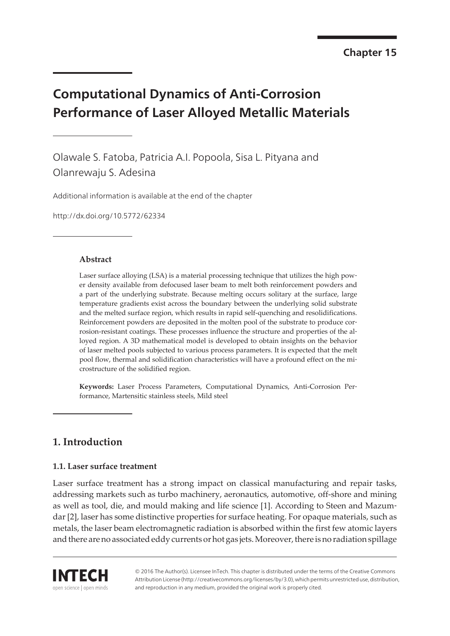# **Computational Dynamics of Anti-Corrosion Performance of Laser Alloyed Metallic Materials**

Olawale S. Fatoba, Patricia A.I. Popoola, Sisa L. Pityana and Olanrewaju S. Adesina

[Additional information is available at the end of the chapter](#page-16-0)

http://dx.doi.org/10.5772/62334

#### **Abstract**

Laser surface alloying (LSA) is a material processing technique that utilizes the high power density available from defocused laser beam to melt both reinforcement powders and a part of the underlying substrate. Because melting occurs solitary at the surface, large temperature gradients exist across the boundary between the underlying solid substrate and the melted surface region, which results in rapid self-quenching and resolidifications. Reinforcement powders are deposited in the molten pool of the substrate to produce corrosion-resistant coatings. These processes influence the structure and properties of the al‐ loyed region. A 3D mathematical model is developed to obtain insights on the behavior of laser melted pools subjected to various process parameters. It is expected that the melt pool flow, thermal and solidification characteristics will have a profound effect on the microstructure of the solidified region.

**Keywords:** Laser Process Parameters, Computational Dynamics, Anti-Corrosion Per‐ formance, Martensitic stainless steels, Mild steel

## **1. Introduction**

#### **1.1. Laser surface treatment**

Laser surface treatment has a strong impact on classical manufacturing and repair tasks, addressing markets such as turbo machinery, aeronautics, automotive, off-shore and mining as well as tool, die, and mould making and life science [\[1\]](#page-17-0). According to Steen and Mazumdar [\[2\]](#page-17-0), laser has some distinctive properties for surface heating. For opaque materials, such as metals, the laser beam electromagnetic radiation is absorbed within the first few atomic layers and there are no associated eddy currents or hot gas jets. Moreover, there is no radiation spillage



© 2016 The Author(s). Licensee InTech. This chapter is distributed under the terms of the Creative Commons Attribution License (http://creativecommons.org/licenses/by/3.0), which permits unrestricted use, distribution, and reproduction in any medium, provided the original work is properly cited.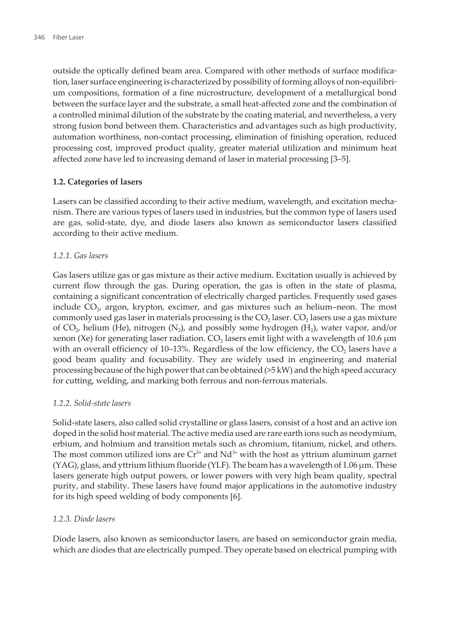outside the optically defined beam area. Compared with other methods of surface modifica‐ tion, laser surface engineering is characterized by possibility of forming alloys of non-equilibrium compositions, formation of a fine microstructure, development of a metallurgical bond between the surface layer and the substrate, a small heat-affected zone and the combination of a controlled minimal dilution of the substrate by the coating material, and nevertheless, a very strong fusion bond between them. Characteristics and advantages such as high productivity, automation worthiness, non-contact processing, elimination of finishing operation, reduced processing cost, improved product quality, greater material utilization and minimum heat affected zone have led to increasing demand of laser in material processing [\[3–5\]](#page-17-0).

#### **1.2. Categories of lasers**

Lasers can be classified according to their active medium, wavelength, and excitation mecha‐ nism. There are various types of lasers used in industries, but the common type of lasers used are gas, solid-state, dye, and diode lasers also known as semiconductor lasers classified according to their active medium.

#### *1.2.1. Gas lasers*

Gas lasers utilize gas or gas mixture as their active medium. Excitation usually is achieved by current flow through the gas. During operation, the gas is often in the state of plasma, containing a significant concentration of electrically charged particles. Frequently used gases include  $\mathrm{CO}_2$ , argon, krypton, excimer, and gas mixtures such as helium–neon. The most commonly used gas laser in materials processing is the CO $_2$  laser. CO $_2$  lasers use a gas mixture of CO<sub>2</sub>, helium (He), nitrogen (N<sub>2</sub>), and possibly some hydrogen (H<sub>2</sub>), water vapor, and/or xenon (Xe) for generating laser radiation. CO $_2$  lasers emit light with a wavelength of 10.6  $\mu$ m with an overall efficiency of 10–13%. Regardless of the low efficiency, the  $\rm CO_2$  lasers have a good beam quality and focusability. They are widely used in engineering and material processing because of the high power that can be obtained  $(>5 \text{ kW})$  and the high speed accuracy for cutting, welding, and marking both ferrous and non-ferrous materials.

#### *1.2.2. Solid-state lasers*

Solid-state lasers, also called solid crystalline or glass lasers, consist of a host and an active ion doped in the solid host material. The active media used are rare earth ions such as neodymium, erbium, and holmium and transition metals such as chromium, titanium, nickel, and others. The most common utilized ions are  $Cr^{3+}$  and  $Nd^{3+}$  with the host as yttrium aluminum garnet (YAG), glass, and yttrium lithium fluoride (YLF). The beam has a wavelength of 1.06 µm. These lasers generate high output powers, or lower powers with very high beam quality, spectral purity, and stability. These lasers have found major applications in the automotive industry for its high speed welding of body components [[6](#page-17-0)].

#### *1.2.3. Diode lasers*

Diode lasers, also known as semiconductor lasers, are based on semiconductor grain media, which are diodes that are electrically pumped. They operate based on electrical pumping with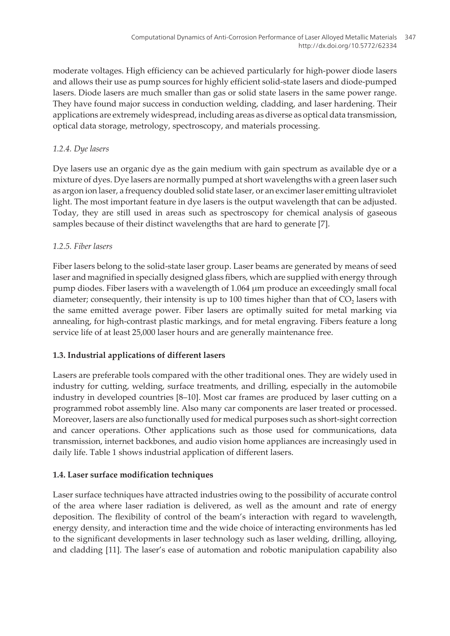moderate voltages. High efficiency can be achieved particularly for high-power diode lasers and allows their use as pump sources for highly efficient solid-state lasers and diode-pumped lasers. Diode lasers are much smaller than gas or solid state lasers in the same power range. They have found major success in conduction welding, cladding, and laser hardening. Their applications are extremely widespread, including areas as diverse as optical data transmission, optical data storage, metrology, spectroscopy, and materials processing.

#### *1.2.4. Dye lasers*

Dye lasers use an organic dye as the gain medium with gain spectrum as available dye or a mixture of dyes. Dye lasers are normally pumped at short wavelengths with a green laser such as argon ion laser, a frequency doubled solid state laser, or an excimer laser emitting ultraviolet light. The most important feature in dye lasers is the output wavelength that can be adjusted. Today, they are still used in areas such as spectroscopy for chemical analysis of gaseous samples because of their distinct wavelengths that are hard to generate [[7](#page-17-0)].

#### *1.2.5. Fiber lasers*

Fiber lasers belong to the solid-state laser group. Laser beams are generated by means of seed laser and magnified in specially designed glass fibers, which are supplied with energy through pump diodes. Fiber lasers with a wavelength of 1.064 µm produce an exceedingly small focal diameter; consequently, their intensity is up to 100 times higher than that of  $\rm CO_2$  lasers with the same emitted average power. Fiber lasers are optimally suited for metal marking via annealing, for high-contrast plastic markings, and for metal engraving. Fibers feature a long service life of at least 25,000 laser hours and are generally maintenance free.

## **1.3. Industrial applications of different lasers**

Lasers are preferable tools compared with the other traditional ones. They are widely used in industry for cutting, welding, surface treatments, and drilling, especially in the automobile industry in developed countries [[8](#page-17-0)–[10\]](#page-17-0). Most car frames are produced by laser cutting on a programmed robot assembly line. Also many car components are laser treated or processed. Moreover, lasers are also functionally used for medical purposes such as short-sight correction and cancer operations. Other applications such as those used for communications, data transmission, internet backbones, and audio vision home appliances are increasingly used in daily life. [Table 1](#page-3-0) shows industrial application of different lasers.

## **1.4. Laser surface modification techniques**

Laser surface techniques have attracted industries owing to the possibility of accurate control of the area where laser radiation is delivered, as well as the amount and rate of energy deposition. The flexibility of control of the beam's interaction with regard to wavelength, energy density, and interaction time and the wide choice of interacting environments has led to the significant developments in laser technology such as laser welding, drilling, alloying, and cladding [\[11](#page-17-0)]. The laser's ease of automation and robotic manipulation capability also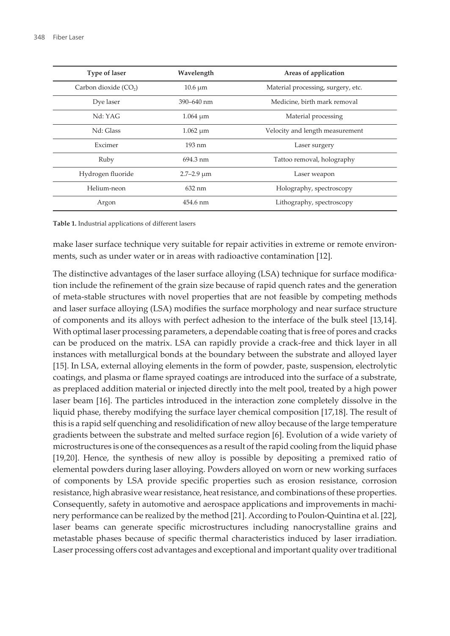<span id="page-3-0"></span>

| Type of laser                     | Wavelength        | Areas of application               |
|-----------------------------------|-------------------|------------------------------------|
| Carbon dioxide (CO <sub>2</sub> ) | $10.6 \mu m$      | Material processing, surgery, etc. |
| Dye laser                         | $390 - 640$ nm    | Medicine, birth mark removal       |
| Nd:YAG                            | $1.064 \mu m$     | Material processing                |
| Nd: Glass                         | $1.062 \mu m$     | Velocity and length measurement    |
| Excimer                           | 193 nm            | Laser surgery                      |
| Ruby                              | 694.3 nm          | Tattoo removal, holography         |
| Hydrogen fluoride                 | $2.7 - 2.9 \mu m$ | Laser weapon                       |
| Helium-neon                       | 632 nm            | Holography, spectroscopy           |
| Argon                             | 454.6 nm          | Lithography, spectroscopy          |

#### **Table 1.** Industrial applications of different lasers

make laser surface technique very suitable for repair activities in extreme or remote environments, such as under water or in areas with radioactive contamination [[12\]](#page-17-0).

The distinctive advantages of the laser surface alloying (LSA) technique for surface modification include the refinement of the grain size because of rapid quench rates and the generation of meta-stable structures with novel properties that are not feasible by competing methods and laser surface alloying (LSA) modifies the surface morphology and near surface structure of components and its alloys with perfect adhesion to the interface of the bulk steel [[13,14\]](#page-17-0). With optimal laser processing parameters, a dependable coating that is free of pores and cracks can be produced on the matrix. LSA can rapidly provide a crack-free and thick layer in all instances with metallurgical bonds at the boundary between the substrate and alloyed layer [[15\]](#page-18-0). In LSA, external alloying elements in the form of powder, paste, suspension, electrolytic coatings, and plasma or flame sprayed coatings are introduced into the surface of a substrate, as preplaced addition material or injected directly into the melt pool, treated by a high power laser beam [\[16](#page-18-0)]. The particles introduced in the interaction zone completely dissolve in the liquid phase, thereby modifying the surface layer chemical composition [\[17](#page-18-0),[18\]](#page-18-0). The result of this is a rapid self quenching and resolidification of new alloy because of the large temperature gradients between the substrate and melted surface region [[6](#page-17-0)]. Evolution of a wide variety of microstructures is one of the consequences as a result of the rapid cooling from the liquid phase [[19,20\]](#page-18-0). Hence, the synthesis of new alloy is possible by depositing a premixed ratio of elemental powders during laser alloying. Powders alloyed on worn or new working surfaces of components by LSA provide specific properties such as erosion resistance, corrosion resistance, high abrasive wear resistance, heat resistance, and combinations of these properties. Consequently, safety in automotive and aerospace applications and improvements in machinery performance can be realized by the method [\[21](#page-18-0)]. According to Poulon-Quintina et al. [[22\]](#page-18-0), laser beams can generate specific microstructures including nanocrystalline grains and metastable phases because of specific thermal characteristics induced by laser irradiation. Laser processing offers cost advantages and exceptional and important quality over traditional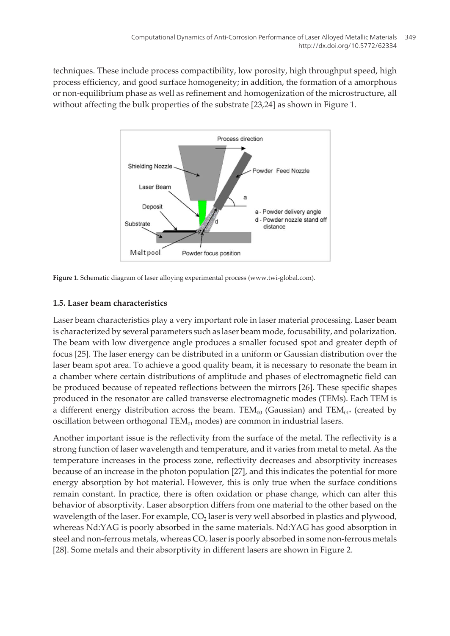techniques. These include process compactibility, low porosity, high throughput speed, high process efficiency, and good surface homogeneity; in addition, the formation of a amorphous or non-equilibrium phase as well as refinement and homogenization of the microstructure, all without affecting the bulk properties of the substrate [[23,24](#page-18-0)] as shown in Figure 1.



**Figure 1.** Schematic diagram of laser alloying experimental process (www.twi-global.com).

## **1.5. Laser beam characteristics**

Laser beam characteristics play a very important role in laser material processing. Laser beam is characterized by several parameters such as laser beam mode, focusability, and polarization. The beam with low divergence angle produces a smaller focused spot and greater depth of focus [\[25](#page-18-0)]. The laser energy can be distributed in a uniform or Gaussian distribution over the laser beam spot area. To achieve a good quality beam, it is necessary to resonate the beam in a chamber where certain distributions of amplitude and phases of electromagnetic field can be produced because of repeated reflections between the mirrors [[26\]](#page-18-0). These specific shapes produced in the resonator are called transverse electromagnetic modes (TEMs). Each TEM is a different energy distribution across the beam. TEM<sub>00</sub> (Gaussian) and TEM<sub>01\*</sub> (created by oscillation between orthogonal  $TEM_{01}$  modes) are common in industrial lasers.

Another important issue is the reflectivity from the surface of the metal. The reflectivity is a strong function of laser wavelength and temperature, and it varies from metal to metal. As the temperature increases in the process zone, reflectivity decreases and absorptivity increases because of an increase in the photon population [[27\]](#page-18-0), and this indicates the potential for more energy absorption by hot material. However, this is only true when the surface conditions remain constant. In practice, there is often oxidation or phase change, which can alter this behavior of absorptivity. Laser absorption differs from one material to the other based on the wavelength of the laser. For example,  $\rm CO_2$  laser is very well absorbed in plastics and plywood, whereas Nd:YAG is poorly absorbed in the same materials. Nd:YAG has good absorption in steel and non-ferrous metals, whereas  $\mathsf{CO}_2$  laser is poorly absorbed in some non-ferrous metals [[28\]](#page-18-0). Some metals and their absorptivity in different lasers are shown in [Figure 2.](#page-5-0)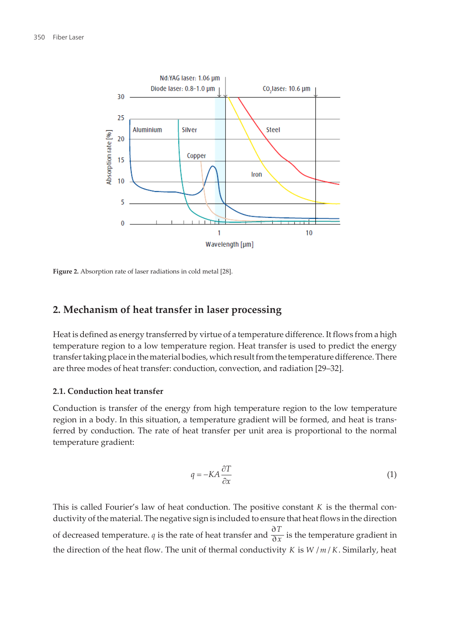<span id="page-5-0"></span>

**Figure 2.** Absorption rate of laser radiations in cold metal [\[28](#page-18-0)].

#### **2. Mechanism of heat transfer in laser processing**

Heat is defined as energy transferred by virtue of a temperature difference. It flows from a high temperature region to a low temperature region. Heat transfer is used to predict the energy transfer taking place in the material bodies, which result from the temperature difference. There are three modes of heat transfer: conduction, convection, and radiation [[29–](#page-18-0)[32](#page-19-0)].

#### **2.1. Conduction heat transfer**

Conduction is transfer of the energy from high temperature region to the low temperature region in a body. In this situation, a temperature gradient will be formed, and heat is trans‐ ferred by conduction. The rate of heat transfer per unit area is proportional to the normal temperature gradient:

$$
q = -KA \frac{\partial T}{\partial x} \tag{1}
$$

This is called Fourier's law of heat conduction. The positive constant *K* is the thermal con‐ ductivity of the material. The negative sign is included to ensure that heat flows in the direction of decreased temperature. *q* is the rate of heat transfer and  $\frac{\partial T}{\partial x}$  is the temperature gradient in the direction of the heat flow. The unit of thermal conductivity *K* is *W* / *m* / *K*. Similarly, heat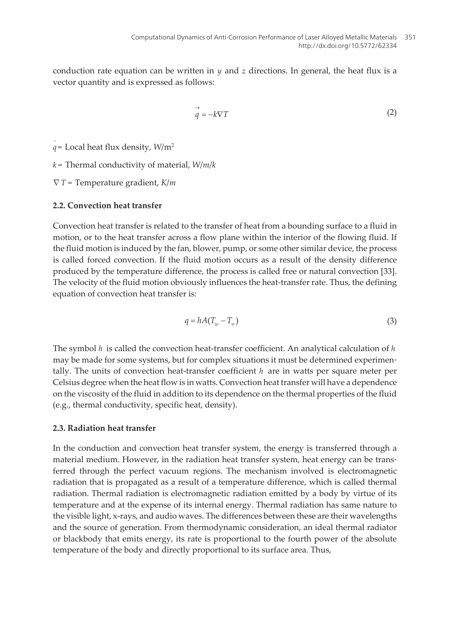conduction rate equation can be written in  $\gamma$  and  $z$  directions. In general, the heat flux is a vector quantity and is expressed as follows:

$$
\vec{q} = -k\nabla T \tag{2}
$$

*q* = Local heat flux density,  $W/m^2$ 

*k* = Thermal conductivity of material, *W*/*m*/*k*

؎*T* = Temperature gradient, *K*/*m*

#### **2.2. Convection heat transfer**

Convection heat transfer is related to the transfer of heat from a bounding surface to a fluid in motion, or to the heat transfer across a flow plane within the interior of the flowing fluid. If the fluid motion is induced by the fan, blower, pump, or some other similar device, the process is called forced convection. If the fluid motion occurs as a result of the density difference produced by the temperature difference, the process is called free or natural convection [[33\]](#page-19-0). The velocity of the fluid motion obviously influences the heat-transfer rate. Thus, the defining equation of convection heat transfer is:

$$
q = hA(T_w - T_\infty) \tag{3}
$$

The symbol *h* is called the convection heat-transfer coefficient. An analytical calculation of *h* may be made for some systems, but for complex situations it must be determined experimentally. The units of convection heat-transfer coefficient *h* are in watts per square meter per Celsius degree when the heat flow is in watts. Convection heat transfer will have a dependence on the viscosity of the fluid in addition to its dependence on the thermal properties of the fluid (e.g., thermal conductivity, specific heat, density).

#### **2.3. Radiation heat transfer**

In the conduction and convection heat transfer system, the energy is transferred through a material medium. However, in the radiation heat transfer system, heat energy can be transferred through the perfect vacuum regions. The mechanism involved is electromagnetic radiation that is propagated as a result of a temperature difference, which is called thermal radiation. Thermal radiation is electromagnetic radiation emitted by a body by virtue of its temperature and at the expense of its internal energy. Thermal radiation has same nature to the visible light, x-rays, and audio waves. The differences between these are their wavelengths and the source of generation. From thermodynamic consideration, an ideal thermal radiator or blackbody that emits energy, its rate is proportional to the fourth power of the absolute temperature of the body and directly proportional to its surface area. Thus,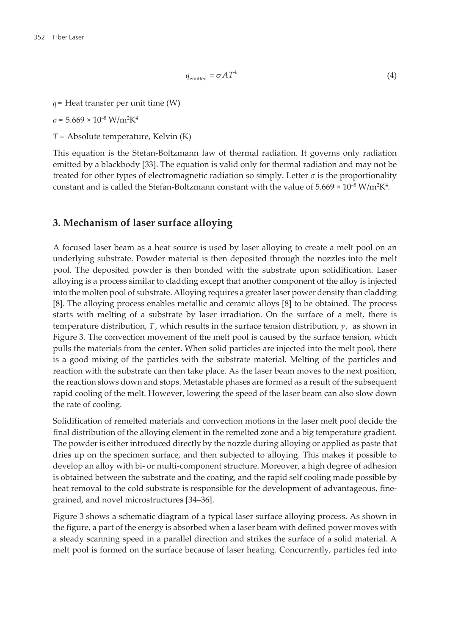$$
q_{\text{emitted}} = \sigma A T^4 \tag{4}
$$

 $q =$  Heat transfer per unit time (W)

 $\sigma$  = 5.669 × 10<sup>-8</sup> W/m<sup>2</sup>K<sup>4</sup>

*T* = Absolute temperature, Kelvin (K)

This equation is the Stefan-Boltzmann law of thermal radiation. It governs only radiation emitted by a blackbody [\[33](#page-19-0)]. The equation is valid only for thermal radiation and may not be treated for other types of electromagnetic radiation so simply. Letter *σ* is the proportionality constant and is called the Stefan-Boltzmann constant with the value of  $5.669 \times 10^{-8}\,\rm W/m^2K^4$ .

## **3. Mechanism of laser surface alloying**

A focused laser beam as a heat source is used by laser alloying to create a melt pool on an underlying substrate. Powder material is then deposited through the nozzles into the melt pool. The deposited powder is then bonded with the substrate upon solidification. Laser alloying is a process similar to cladding except that another component of the alloy is injected into the molten pool of substrate. Alloying requires a greater laser power density than cladding [[8](#page-17-0)]. The alloying process enables metallic and ceramic alloys [\[8](#page-17-0)] to be obtained. The process starts with melting of a substrate by laser irradiation. On the surface of a melt, there is temperature distribution, *T*, which results in the surface tension distribution,  $\gamma$ , as shown in [Figure 3.](#page-8-0) The convection movement of the melt pool is caused by the surface tension, which pulls the materials from the center. When solid particles are injected into the melt pool, there is a good mixing of the particles with the substrate material. Melting of the particles and reaction with the substrate can then take place. As the laser beam moves to the next position, the reaction slows down and stops. Metastable phases are formed as a result of the subsequent rapid cooling of the melt. However, lowering the speed of the laser beam can also slow down the rate of cooling.

Solidification of remelted materials and convection motions in the laser melt pool decide the final distribution of the alloying element in the remelted zone and a big temperature gradient. The powder is either introduced directly by the nozzle during alloying or applied as paste that dries up on the specimen surface, and then subjected to alloying. This makes it possible to develop an alloy with bi- or multi-component structure. Moreover, a high degree of adhesion is obtained between the substrate and the coating, and the rapid self cooling made possible by heat removal to the cold substrate is responsible for the development of advantageous, finegrained, and novel microstructures [[34–36](#page-19-0)].

[Figure 3](#page-8-0) shows a schematic diagram of a typical laser surface alloying process. As shown in the figure, a part of the energy is absorbed when a laser beam with defined power moves with a steady scanning speed in a parallel direction and strikes the surface of a solid material. A melt pool is formed on the surface because of laser heating. Concurrently, particles fed into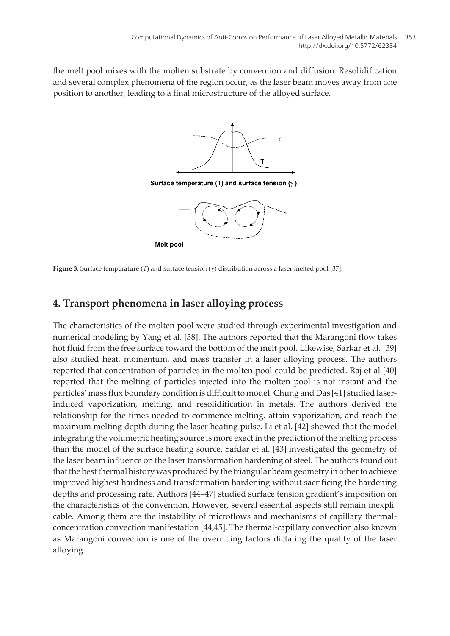<span id="page-8-0"></span>the melt pool mixes with the molten substrate by convention and diffusion. Resolidification and several complex phenomena of the region occur, as the laser beam moves away from one position to another, leading to a final microstructure of the alloyed surface.



**Figure 3.** Surface temperature (*T*) and surface tension (γ) distribution across a laser melted pool [\[37](#page-19-0)].

# **4. Transport phenomena in laser alloying process**

The characteristics of the molten pool were studied through experimental investigation and numerical modeling by Yang et al. [\[38](#page-19-0)]. The authors reported that the Marangoni flow takes hot fluid from the free surface toward the bottom of the melt pool. Likewise, Sarkar et al. [\[39](#page-19-0)] also studied heat, momentum, and mass transfer in a laser alloying process. The authors reported that concentration of particles in the molten pool could be predicted. Raj et al [\[40](#page-19-0)] reported that the melting of particles injected into the molten pool is not instant and the particles' mass flux boundary condition is difficult to model. Chung and Das [\[41](#page-19-0)] studied laserinduced vaporization, melting, and resolidification in metals. The authors derived the relationship for the times needed to commence melting, attain vaporization, and reach the maximum melting depth during the laser heating pulse. Li et al. [[42\]](#page-19-0) showed that the model integrating the volumetric heating source is more exact in the prediction of the melting process than the model of the surface heating source. Safdar et al. [[43\]](#page-19-0) investigated the geometry of the laser beam influence on the laser transformation hardening of steel. The authors found out that the best thermal history was produced by the triangular beam geometry in other to achieve improved highest hardness and transformation hardening without sacrificing the hardening depths and processing rate. Authors [[44](#page-19-0)[–47](#page-20-0)] studied surface tension gradient's imposition on the characteristics of the convention. However, several essential aspects still remain inexplicable. Among them are the instability of microflows and mechanisms of capillary thermalconcentration convection manifestation [\[44](#page-19-0)[,45](#page-20-0)]. The thermal-capillary convection also known as Marangoni convection is one of the overriding factors dictating the quality of the laser alloying.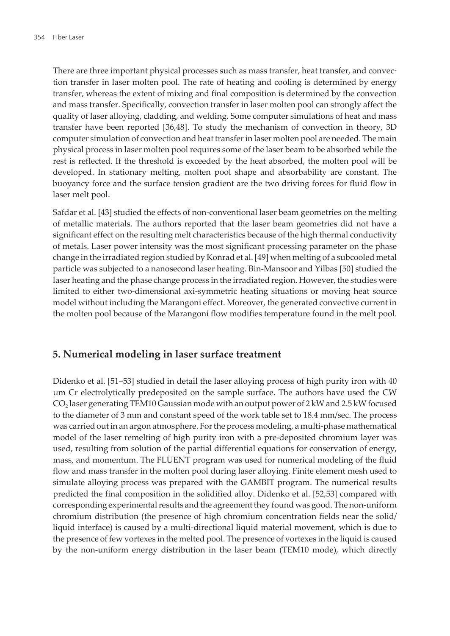There are three important physical processes such as mass transfer, heat transfer, and convection transfer in laser molten pool. The rate of heating and cooling is determined by energy transfer, whereas the extent of mixing and final composition is determined by the convection and mass transfer. Specifically, convection transfer in laser molten pool can strongly affect the quality of laser alloying, cladding, and welding. Some computer simulations of heat and mass transfer have been reported [\[36](#page-19-0),[48\]](#page-20-0). To study the mechanism of convection in theory, 3D computer simulation of convection and heat transfer in laser molten pool are needed. The main physical process in laser molten pool requires some of the laser beam to be absorbed while the rest is reflected. If the threshold is exceeded by the heat absorbed, the molten pool will be developed. In stationary melting, molten pool shape and absorbability are constant. The buoyancy force and the surface tension gradient are the two driving forces for fluid flow in laser melt pool.

Safdar et al. [\[43](#page-19-0)] studied the effects of non-conventional laser beam geometries on the melting of metallic materials. The authors reported that the laser beam geometries did not have a significant effect on the resulting melt characteristics because of the high thermal conductivity of metals. Laser power intensity was the most significant processing parameter on the phase change in the irradiated region studied by Konrad et al. [[49\]](#page-20-0) when melting of a subcooled metal particle was subjected to a nanosecond laser heating. Bin-Mansoor and Yilbas [[50\]](#page-20-0) studied the laser heating and the phase change process in the irradiated region. However, the studies were limited to either two-dimensional axi-symmetric heating situations or moving heat source model without including the Marangoni effect. Moreover, the generated convective current in the molten pool because of the Marangoni flow modifies temperature found in the melt pool.

## **5. Numerical modeling in laser surface treatment**

Didenko et al. [\[51](#page-20-0)–[53\]](#page-20-0) studied in detail the laser alloying process of high purity iron with 40 µm Cr electrolytically predeposited on the sample surface. The authors have used the CW CO $_2$  laser generating TEM10 Gaussian mode with an output power of 2 kW and 2.5 kW focused to the diameter of 3 mm and constant speed of the work table set to 18.4 mm/sec. The process was carried out in an argon atmosphere. For the process modeling, a multi-phase mathematical model of the laser remelting of high purity iron with a pre-deposited chromium layer was used, resulting from solution of the partial differential equations for conservation of energy, mass, and momentum. The FLUENT program was used for numerical modeling of the fluid flow and mass transfer in the molten pool during laser alloying. Finite element mesh used to simulate alloying process was prepared with the GAMBIT program. The numerical results predicted the final composition in the solidified alloy. Didenko et al. [\[52,53](#page-20-0)] compared with corresponding experimental results and the agreement they found was good. The non-uniform chromium distribution (the presence of high chromium concentration fields near the solid/ liquid interface) is caused by a multi-directional liquid material movement, which is due to the presence of few vortexes in the melted pool. The presence of vortexes in the liquid is caused by the non-uniform energy distribution in the laser beam (TEM10 mode), which directly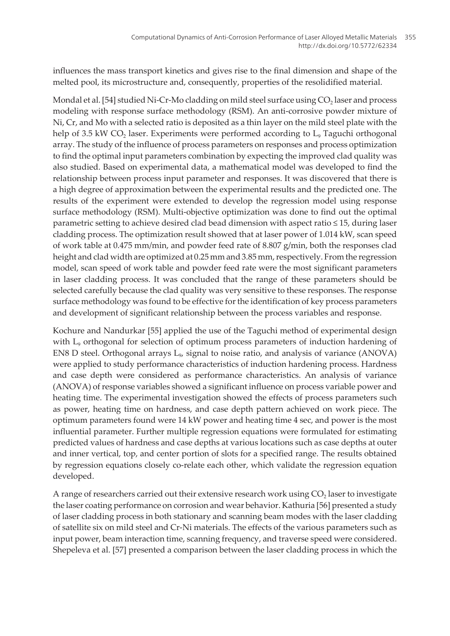influences the mass transport kinetics and gives rise to the final dimension and shape of the melted pool, its microstructure and, consequently, properties of the resolidified material.

Mondal et al. [\[54](#page-20-0)] studied Ni-Cr-Mo cladding on mild steel surface using  $\mathrm{CO}_2$  laser and process modeling with response surface methodology (RSM). An anti-corrosive powder mixture of Ni, Cr, and Mo with a selected ratio is deposited as a thin layer on the mild steel plate with the help of 3.5 kW CO<sub>2</sub> laser. Experiments were performed according to L<sub>9</sub> Taguchi orthogonal array. The study of the influence of process parameters on responses and process optimization to find the optimal input parameters combination by expecting the improved clad quality was also studied. Based on experimental data, a mathematical model was developed to find the relationship between process input parameter and responses. It was discovered that there is a high degree of approximation between the experimental results and the predicted one. The results of the experiment were extended to develop the regression model using response surface methodology (RSM). Multi-objective optimization was done to find out the optimal parametric setting to achieve desired clad bead dimension with aspect ratio ≤ 15, during laser cladding process. The optimization result showed that at laser power of 1.014 kW, scan speed of work table at 0.475 mm/min, and powder feed rate of 8.807 g/min, both the responses clad height and clad width are optimized at 0.25 mm and 3.85 mm, respectively. From the regression model, scan speed of work table and powder feed rate were the most significant parameters in laser cladding process. It was concluded that the range of these parameters should be selected carefully because the clad quality was very sensitive to these responses. The response surface methodology was found to be effective for the identification of key process parameters and development of significant relationship between the process variables and response.

Kochure and Nandurkar [\[55](#page-20-0)] applied the use of the Taguchi method of experimental design with L<sup>9</sup> orthogonal for selection of optimum process parameters of induction hardening of EN8 D steel. Orthogonal arrays  $L_{9}$ , signal to noise ratio, and analysis of variance (ANOVA) were applied to study performance characteristics of induction hardening process. Hardness and case depth were considered as performance characteristics. An analysis of variance (ANOVA) of response variables showed a significant influence on process variable power and heating time. The experimental investigation showed the effects of process parameters such as power, heating time on hardness, and case depth pattern achieved on work piece. The optimum parameters found were 14 kW power and heating time 4 sec, and power is the most influential parameter. Further multiple regression equations were formulated for estimating predicted values of hardness and case depths at various locations such as case depths at outer and inner vertical, top, and center portion of slots for a specified range. The results obtained by regression equations closely co-relate each other, which validate the regression equation developed.

A range of researchers carried out their extensive research work using  $\mathrm{CO}_2$  laser to investigate the laser coating performance on corrosion and wear behavior. Kathuria [\[56\]](#page-20-0) presented a study of laser cladding process in both stationary and scanning beam modes with the laser cladding of satellite six on mild steel and Cr-Ni materials. The effects of the various parameters such as input power, beam interaction time, scanning frequency, and traverse speed were considered. Shepeleva et al. [\[57](#page-20-0)] presented a comparison between the laser cladding process in which the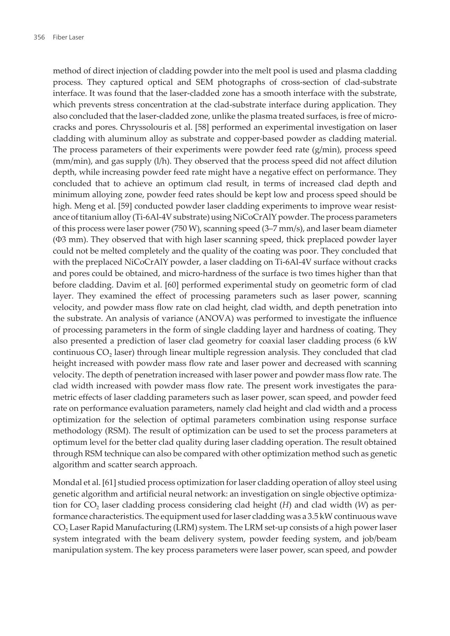method of direct injection of cladding powder into the melt pool is used and plasma cladding process. They captured optical and SEM photographs of cross-section of clad-substrate interface. It was found that the laser-cladded zone has a smooth interface with the substrate, which prevents stress concentration at the clad-substrate interface during application. They also concluded that the laser-cladded zone, unlike the plasma treated surfaces, is free of microcracks and pores. Chryssolouris et al. [\[58](#page-20-0)] performed an experimental investigation on laser cladding with aluminum alloy as substrate and copper-based powder as cladding material. The process parameters of their experiments were powder feed rate (g/min), process speed (mm/min), and gas supply (l/h). They observed that the process speed did not affect dilution depth, while increasing powder feed rate might have a negative effect on performance. They concluded that to achieve an optimum clad result, in terms of increased clad depth and minimum alloying zone, powder feed rates should be kept low and process speed should be high. Meng et al. [[59\]](#page-21-0) conducted powder laser cladding experiments to improve wear resistance of titanium alloy (Ti-6Al-4V substrate) using NiCoCrAlY powder. The process parameters of this process were laser power (750 W), scanning speed (3–7 mm/s), and laser beam diameter (Φ3 mm). They observed that with high laser scanning speed, thick preplaced powder layer could not be melted completely and the quality of the coating was poor. They concluded that with the preplaced NiCoCrAlY powder, a laser cladding on Ti-6Al-4V surface without cracks and pores could be obtained, and micro-hardness of the surface is two times higher than that before cladding. Davim et al. [[60\]](#page-21-0) performed experimental study on geometric form of clad layer. They examined the effect of processing parameters such as laser power, scanning velocity, and powder mass flow rate on clad height, clad width, and depth penetration into the substrate. An analysis of variance (ANOVA) was performed to investigate the influence of processing parameters in the form of single cladding layer and hardness of coating. They also presented a prediction of laser clad geometry for coaxial laser cladding process (6 kW continuous CO $_2$  laser) through linear multiple regression analysis. They concluded that clad height increased with powder mass flow rate and laser power and decreased with scanning velocity. The depth of penetration increased with laser power and powder mass flow rate. The clad width increased with powder mass flow rate. The present work investigates the parametric effects of laser cladding parameters such as laser power, scan speed, and powder feed rate on performance evaluation parameters, namely clad height and clad width and a process optimization for the selection of optimal parameters combination using response surface methodology (RSM). The result of optimization can be used to set the process parameters at optimum level for the better clad quality during laser cladding operation. The result obtained through RSM technique can also be compared with other optimization method such as genetic algorithm and scatter search approach.

Mondal et al. [[61\]](#page-21-0) studied process optimization for laser cladding operation of alloy steel using genetic algorithm and artificial neural network: an investigation on single objective optimiza‐ tion for CO<sub>2</sub> laser cladding process considering clad height (*H*) and clad width (*W*) as performance characteristics. The equipment used for laser cladding was a 3.5 kW continuous wave  $\mathrm{CO}_2$  Laser Rapid Manufacturing (LRM) system. The LRM set-up consists of a high power laser system integrated with the beam delivery system, powder feeding system, and job/beam manipulation system. The key process parameters were laser power, scan speed, and powder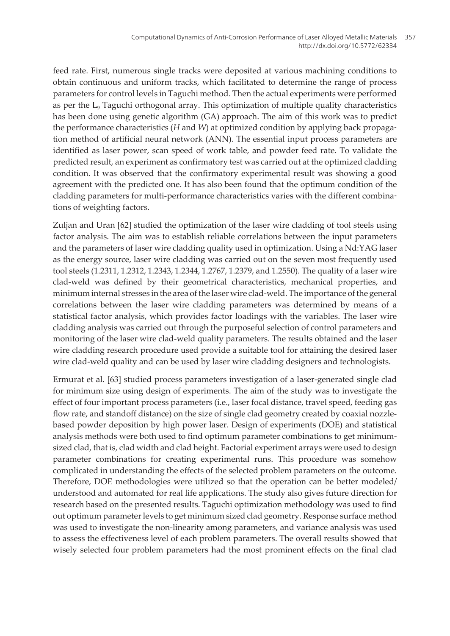feed rate. First, numerous single tracks were deposited at various machining conditions to obtain continuous and uniform tracks, which facilitated to determine the range of process parameters for control levels in Taguchi method. Then the actual experiments were performed as per the L<sup>9</sup> Taguchi orthogonal array. This optimization of multiple quality characteristics has been done using genetic algorithm (GA) approach. The aim of this work was to predict the performance characteristics (*H* and *W*) at optimized condition by applying back propaga‐ tion method of artificial neural network (ANN). The essential input process parameters are identified as laser power, scan speed of work table, and powder feed rate. To validate the predicted result, an experiment as confirmatory test was carried out at the optimized cladding condition. It was observed that the confirmatory experimental result was showing a good agreement with the predicted one. It has also been found that the optimum condition of the cladding parameters for multi-performance characteristics varies with the different combina‐ tions of weighting factors.

Zuljan and Uran [[62\]](#page-21-0) studied the optimization of the laser wire cladding of tool steels using factor analysis. The aim was to establish reliable correlations between the input parameters and the parameters of laser wire cladding quality used in optimization. Using a Nd:YAG laser as the energy source, laser wire cladding was carried out on the seven most frequently used tool steels (1.2311, 1.2312, 1.2343, 1.2344, 1.2767, 1.2379, and 1.2550). The quality of a laser wire clad-weld was defined by their geometrical characteristics, mechanical properties, and minimum internal stresses in the area of the laser wire clad-weld. The importance of the general correlations between the laser wire cladding parameters was determined by means of a statistical factor analysis, which provides factor loadings with the variables. The laser wire cladding analysis was carried out through the purposeful selection of control parameters and monitoring of the laser wire clad-weld quality parameters. The results obtained and the laser wire cladding research procedure used provide a suitable tool for attaining the desired laser wire clad-weld quality and can be used by laser wire cladding designers and technologists.

Ermurat et al. [[63\]](#page-21-0) studied process parameters investigation of a laser-generated single clad for minimum size using design of experiments. The aim of the study was to investigate the effect of four important process parameters (i.e., laser focal distance, travel speed, feeding gas flow rate, and standoff distance) on the size of single clad geometry created by coaxial nozzlebased powder deposition by high power laser. Design of experiments (DOE) and statistical analysis methods were both used to find optimum parameter combinations to get minimumsized clad, that is, clad width and clad height. Factorial experiment arrays were used to design parameter combinations for creating experimental runs. This procedure was somehow complicated in understanding the effects of the selected problem parameters on the outcome. Therefore, DOE methodologies were utilized so that the operation can be better modeled/ understood and automated for real life applications. The study also gives future direction for research based on the presented results. Taguchi optimization methodology was used to find out optimum parameter levels to get minimum sized clad geometry. Response surface method was used to investigate the non-linearity among parameters, and variance analysis was used to assess the effectiveness level of each problem parameters. The overall results showed that wisely selected four problem parameters had the most prominent effects on the final clad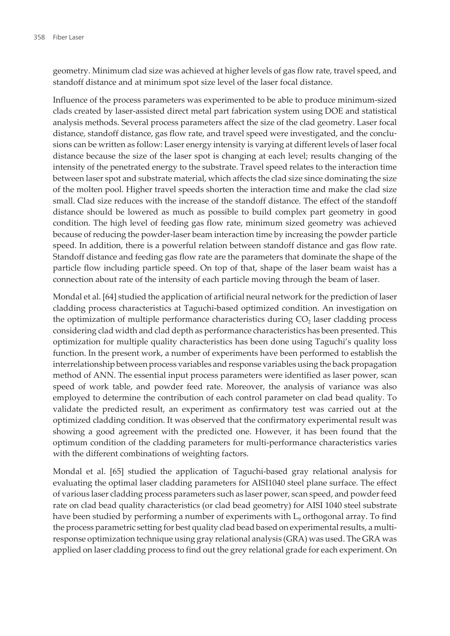geometry. Minimum clad size was achieved at higher levels of gas flow rate, travel speed, and standoff distance and at minimum spot size level of the laser focal distance.

Influence of the process parameters was experimented to be able to produce minimum-sized clads created by laser-assisted direct metal part fabrication system using DOE and statistical analysis methods. Several process parameters affect the size of the clad geometry. Laser focal distance, standoff distance, gas flow rate, and travel speed were investigated, and the conclusions can be written as follow: Laser energy intensity is varying at different levels of laser focal distance because the size of the laser spot is changing at each level; results changing of the intensity of the penetrated energy to the substrate. Travel speed relates to the interaction time between laser spot and substrate material, which affects the clad size since dominating the size of the molten pool. Higher travel speeds shorten the interaction time and make the clad size small. Clad size reduces with the increase of the standoff distance. The effect of the standoff distance should be lowered as much as possible to build complex part geometry in good condition. The high level of feeding gas flow rate, minimum sized geometry was achieved because of reducing the powder-laser beam interaction time by increasing the powder particle speed. In addition, there is a powerful relation between standoff distance and gas flow rate. Standoff distance and feeding gas flow rate are the parameters that dominate the shape of the particle flow including particle speed. On top of that, shape of the laser beam waist has a connection about rate of the intensity of each particle moving through the beam of laser.

Mondal et al. [[64\]](#page-21-0) studied the application of artificial neural network for the prediction of laser cladding process characteristics at Taguchi-based optimized condition. An investigation on the optimization of multiple performance characteristics during  $CO_2$  laser cladding process considering clad width and clad depth as performance characteristics has been presented. This optimization for multiple quality characteristics has been done using Taguchi's quality loss function. In the present work, a number of experiments have been performed to establish the interrelationship between process variables and response variables using the back propagation method of ANN. The essential input process parameters were identified as laser power, scan speed of work table, and powder feed rate. Moreover, the analysis of variance was also employed to determine the contribution of each control parameter on clad bead quality. To validate the predicted result, an experiment as confirmatory test was carried out at the optimized cladding condition. It was observed that the confirmatory experimental result was showing a good agreement with the predicted one. However, it has been found that the optimum condition of the cladding parameters for multi-performance characteristics varies with the different combinations of weighting factors.

Mondal et al. [[65\]](#page-21-0) studied the application of Taguchi-based gray relational analysis for evaluating the optimal laser cladding parameters for AISI1040 steel plane surface. The effect of various laser cladding process parameters such as laser power, scan speed, and powder feed rate on clad bead quality characteristics (or clad bead geometry) for AISI 1040 steel substrate have been studied by performing a number of experiments with L<sub>9</sub> orthogonal array. To find the process parametric setting for best quality clad bead based on experimental results, a multiresponse optimization technique using gray relational analysis (GRA) was used. The GRA was applied on laser cladding process to find out the grey relational grade for each experiment. On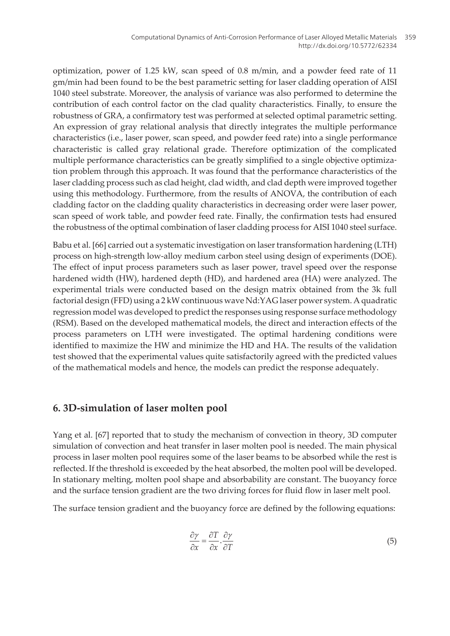optimization, power of 1.25 kW, scan speed of 0.8 m/min, and a powder feed rate of 11 gm/min had been found to be the best parametric setting for laser cladding operation of AISI 1040 steel substrate. Moreover, the analysis of variance was also performed to determine the contribution of each control factor on the clad quality characteristics. Finally, to ensure the robustness of GRA, a confirmatory test was performed at selected optimal parametric setting. An expression of gray relational analysis that directly integrates the multiple performance characteristics (i.e., laser power, scan speed, and powder feed rate) into a single performance characteristic is called gray relational grade. Therefore optimization of the complicated multiple performance characteristics can be greatly simplified to a single objective optimization problem through this approach. It was found that the performance characteristics of the laser cladding process such as clad height, clad width, and clad depth were improved together using this methodology. Furthermore, from the results of ANOVA, the contribution of each cladding factor on the cladding quality characteristics in decreasing order were laser power, scan speed of work table, and powder feed rate. Finally, the confirmation tests had ensured the robustness of the optimal combination of laser cladding process for AISI 1040 steel surface.

Babu et al. [[66\]](#page-21-0) carried out a systematic investigation on laser transformation hardening (LTH) process on high-strength low-alloy medium carbon steel using design of experiments (DOE). The effect of input process parameters such as laser power, travel speed over the response hardened width (HW), hardened depth (HD), and hardened area (HA) were analyzed. The experimental trials were conducted based on the design matrix obtained from the 3k full factorial design (FFD) using a 2 kW continuous wave Nd:YAG laser power system. A quadratic regression model was developed to predict the responses using response surface methodology (RSM). Based on the developed mathematical models, the direct and interaction effects of the process parameters on LTH were investigated. The optimal hardening conditions were identified to maximize the HW and minimize the HD and HA. The results of the validation test showed that the experimental values quite satisfactorily agreed with the predicted values of the mathematical models and hence, the models can predict the response adequately.

## **6. 3D-simulation of laser molten pool**

Yang et al. [\[67](#page-21-0)] reported that to study the mechanism of convection in theory, 3D computer simulation of convection and heat transfer in laser molten pool is needed. The main physical process in laser molten pool requires some of the laser beams to be absorbed while the rest is reflected. If the threshold is exceeded by the heat absorbed, the molten pool will be developed. In stationary melting, molten pool shape and absorbability are constant. The buoyancy force and the surface tension gradient are the two driving forces for fluid flow in laser melt pool.

The surface tension gradient and the buoyancy force are defined by the following equations:

$$
\frac{\partial \gamma}{\partial x} = \frac{\partial T}{\partial x} \cdot \frac{\partial \gamma}{\partial T}
$$
(5)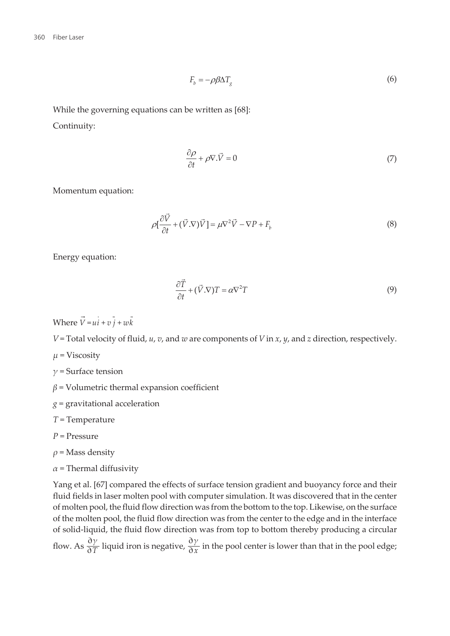$$
F_b = -\rho \beta \Delta T_g \tag{6}
$$

While the governing equations can be written as [\[68](#page-21-0)]: Continuity:

$$
\frac{\partial \rho}{\partial t} + \rho \nabla . \vec{V} = 0 \tag{7}
$$

Momentum equation:

$$
\rho[\frac{\partial \vec{V}}{\partial t} + (\vec{V}.\nabla)\vec{V}] = \mu \nabla^2 \vec{V} - \nabla P + F_b
$$
\n(8)

Energy equation:

$$
\frac{\partial \vec{T}}{\partial t} + (\vec{V}.\nabla)T = \alpha \nabla^2 T \tag{9}
$$

Where  $\vec{V} = u\vec{i} + v\vec{j} + w\vec{k}$ 

*V* = Total velocity of fluid, *u*, *v*, and *w* are components of *V* in *x*, *y*, and *z* direction, respectively.

 $\mu$  = Viscosity

*γ* = Surface tension

*β* = Volumetric thermal expansion coefficient

*g* = gravitational acceleration

*T* = Temperature

*P* = Pressure

*ρ* = Mass density

*α* = Thermal diffusivity

Yang et al. [\[67](#page-21-0)] compared the effects of surface tension gradient and buoyancy force and their fluid fields in laser molten pool with computer simulation. It was discovered that in the center of molten pool, the fluid flow direction was from the bottom to the top. Likewise, on the surface of the molten pool, the fluid flow direction was from the center to the edge and in the interface of solid-liquid, the fluid flow direction was from top to bottom thereby producing a circular flow. As  $\frac{\partial \gamma}{\partial T}$  liquid iron is negative,  $\frac{\partial \gamma}{\partial x}$  in the pool center is lower than that in the pool edge;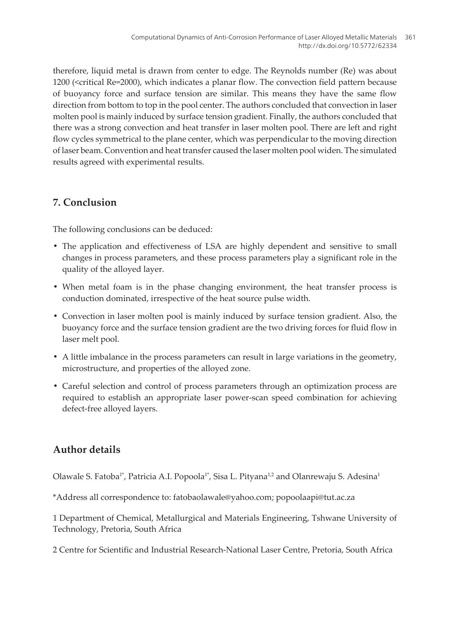<span id="page-16-0"></span>therefore, liquid metal is drawn from center to edge. The Reynolds number (Re) was about 1200 (<critical Re=2000), which indicates a planar flow. The convection field pattern because of buoyancy force and surface tension are similar. This means they have the same flow direction from bottom to top in the pool center. The authors concluded that convection in laser molten pool is mainly induced by surface tension gradient. Finally, the authors concluded that there was a strong convection and heat transfer in laser molten pool. There are left and right flow cycles symmetrical to the plane center, which was perpendicular to the moving direction of laser beam. Convention and heat transfer caused the laser molten pool widen. The simulated results agreed with experimental results.

# **7. Conclusion**

The following conclusions can be deduced:

- **•** The application and effectiveness of LSA are highly dependent and sensitive to small changes in process parameters, and these process parameters play a significant role in the quality of the alloyed layer.
- When metal foam is in the phase changing environment, the heat transfer process is conduction dominated, irrespective of the heat source pulse width.
- **•** Convection in laser molten pool is mainly induced by surface tension gradient. Also, the buoyancy force and the surface tension gradient are the two driving forces for fluid flow in laser melt pool.
- **•** A little imbalance in the process parameters can result in large variations in the geometry, microstructure, and properties of the alloyed zone.
- **•** Careful selection and control of process parameters through an optimization process are required to establish an appropriate laser power-scan speed combination for achieving defect-free alloyed layers.

# **Author details**

Olawale S. Fatoba<sup>1\*</sup>, Patricia A.I. Popoola<sup>1\*</sup>, Sisa L. Pityana<sup>1,2</sup> and Olanrewaju S. Adesina<sup>1</sup>

\*Address all correspondence to: fatobaolawale@yahoo.com; popoolaapi@tut.ac.za

1 Department of Chemical, Metallurgical and Materials Engineering, Tshwane University of Technology, Pretoria, South Africa

2 Centre for Scientific and Industrial Research-National Laser Centre, Pretoria, South Africa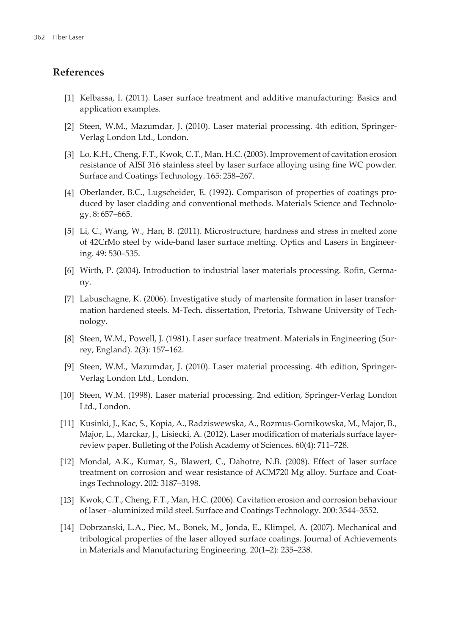## <span id="page-17-0"></span>**References**

- [1] Kelbassa, I. (2011). Laser surface treatment and additive manufacturing: Basics and application examples.
- [2] Steen, W.M., Mazumdar, J. (2010). Laser material processing. 4th edition, Springer-Verlag London Ltd., London.
- [3] Lo, K.H., Cheng, F.T., Kwok, C.T., Man, H.C. (2003). Improvement of cavitation erosion resistance of AISI 316 stainless steel by laser surface alloying using fine WC powder. Surface and Coatings Technology. 165: 258–267.
- [4] Oberlander, B.C., Lugscheider, E. (1992). Comparison of properties of coatings pro‐ duced by laser cladding and conventional methods. Materials Science and Technolo‐ gy. 8: 657–665.
- [5] Li, C., Wang, W., Han, B. (2011). Microstructure, hardness and stress in melted zone of 42CrMo steel by wide-band laser surface melting. Optics and Lasers in Engineer‐ ing. 49: 530–535.
- [6] Wirth, P. (2004). Introduction to industrial laser materials processing. Rofin, Germany.
- [7] Labuschagne, K. (2006). Investigative study of martensite formation in laser transformation hardened steels. M-Tech. dissertation, Pretoria, Tshwane University of Tech‐ nology.
- [8] Steen, W.M., Powell, J. (1981). Laser surface treatment. Materials in Engineering (Surrey, England). 2(3): 157–162.
- [9] Steen, W.M., Mazumdar, J. (2010). Laser material processing. 4th edition, Springer-Verlag London Ltd., London.
- [10] Steen, W.M. (1998). Laser material processing. 2nd edition, Springer-Verlag London Ltd., London.
- [11] Kusinki, J., Kac, S., Kopia, A., Radziswewska, A., Rozmus-Gornikowska, M., Major, B., Major, L., Marckar, J., Lisiecki, A. (2012). Laser modification of materials surface layerreview paper. Bulleting of the Polish Academy of Sciences. 60(4): 711–728.
- [12] Mondal, A.K., Kumar, S., Blawert, C., Dahotre, N.B. (2008). Effect of laser surface treatment on corrosion and wear resistance of ACM720 Mg alloy. Surface and Coat‐ ings Technology. 202: 3187–3198.
- [13] Kwok, C.T., Cheng, F.T., Man, H.C. (2006). Cavitation erosion and corrosion behaviour of laser –aluminized mild steel. Surface and Coatings Technology. 200: 3544–3552.
- [14] Dobrzanski, L.A., Piec, M., Bonek, M., Jonda, E., Klimpel, A. (2007). Mechanical and tribological properties of the laser alloyed surface coatings. Journal of Achievements in Materials and Manufacturing Engineering. 20(1–2): 235–238.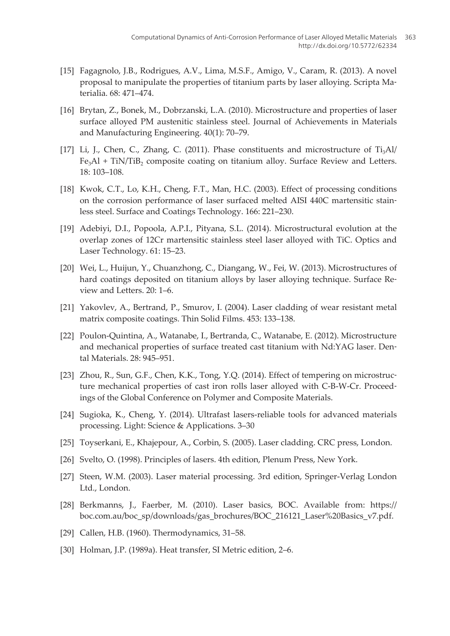- <span id="page-18-0"></span>[15] Fagagnolo, J.B., Rodrigues, A.V., Lima, M.S.F., Amigo, V., Caram, R. (2013). A novel proposal to manipulate the properties of titanium parts by laser alloying. Scripta Ma‐ terialia. 68: 471–474.
- [16] Brytan, Z., Bonek, M., Dobrzanski, L.A. (2010). Microstructure and properties of laser surface alloyed PM austenitic stainless steel. Journal of Achievements in Materials and Manufacturing Engineering. 40(1): 70–79.
- [17] Li, J., Chen, C., Zhang, C. (2011). Phase constituents and microstructure of  $Ti<sub>3</sub>Al/$  $\rm Fe_{3}Al$  + TiN/TiB<sub>2</sub> composite coating on titanium alloy. Surface Review and Letters. 18: 103–108.
- [18] Kwok, C.T., Lo, K.H., Cheng, F.T., Man, H.C. (2003). Effect of processing conditions on the corrosion performance of laser surfaced melted AISI 440C martensitic stain‐ less steel. Surface and Coatings Technology. 166: 221–230.
- [19] Adebiyi, D.I., Popoola, A.P.I., Pityana, S.L. (2014). Microstructural evolution at the overlap zones of 12Cr martensitic stainless steel laser alloyed with TiC. Optics and Laser Technology. 61: 15–23.
- [20] Wei, L., Huijun, Y., Chuanzhong, C., Diangang, W., Fei, W. (2013). Microstructures of hard coatings deposited on titanium alloys by laser alloying technique. Surface Re‐ view and Letters. 20: 1–6.
- [21] Yakovlev, A., Bertrand, P., Smurov, I. (2004). Laser cladding of wear resistant metal matrix composite coatings. Thin Solid Films. 453: 133–138.
- [22] Poulon-Quintina, A., Watanabe, I., Bertranda, C., Watanabe, E. (2012). Microstructure and mechanical properties of surface treated cast titanium with Nd:YAG laser. Den‐ tal Materials. 28: 945–951.
- [23] Zhou, R., Sun, G.F., Chen, K.K., Tong, Y.Q. (2014). Effect of tempering on microstructure mechanical properties of cast iron rolls laser alloyed with C-B-W-Cr. Proceedings of the Global Conference on Polymer and Composite Materials.
- [24] Sugioka, K., Cheng, Y. (2014). Ultrafast lasers-reliable tools for advanced materials processing. Light: Science & Applications. 3–30
- [25] Toyserkani, E., Khajepour, A., Corbin, S. (2005). Laser cladding. CRC press, London.
- [26] Svelto, O. (1998). Principles of lasers. 4th edition, Plenum Press, New York.
- [27] Steen, W.M. (2003). Laser material processing. 3rd edition, Springer-Verlag London Ltd., London.
- [28] Berkmanns, J., Faerber, M. (2010). Laser basics, BOC. Available from: https:// boc.com.au/boc\_sp/downloads/gas\_brochures/BOC\_216121\_Laser%20Basics\_v7.pdf.
- [29] Callen, H.B. (1960). Thermodynamics, 31–58.
- [30] Holman, J.P. (1989a). Heat transfer, SI Metric edition, 2–6.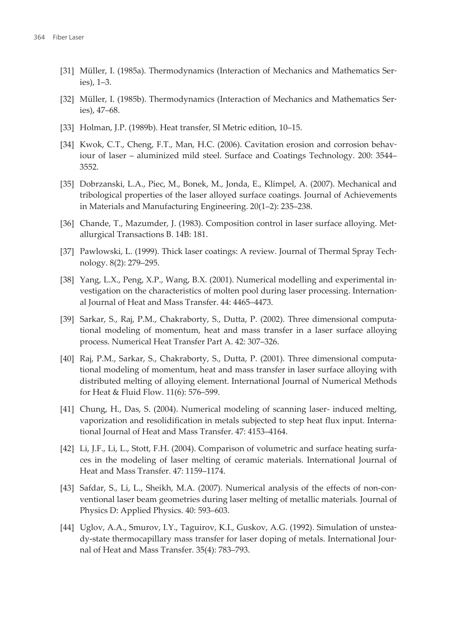- <span id="page-19-0"></span>[31] Müller, I. (1985a). Thermodynamics (Interaction of Mechanics and Mathematics Series), 1–3.
- [32] Müller, I. (1985b). Thermodynamics (Interaction of Mechanics and Mathematics Series), 47–68.
- [33] Holman, J.P. (1989b). Heat transfer, SI Metric edition, 10–15.
- [34] Kwok, C.T., Cheng, F.T., Man, H.C. (2006). Cavitation erosion and corrosion behaviour of laser – aluminized mild steel. Surface and Coatings Technology. 200: 3544– 3552.
- [35] Dobrzanski, L.A., Piec, M., Bonek, M., Jonda, E., Klimpel, A. (2007). Mechanical and tribological properties of the laser alloyed surface coatings. Journal of Achievements in Materials and Manufacturing Engineering. 20(1–2): 235–238.
- [36] Chande, T., Mazumder, J. (1983). Composition control in laser surface alloying. Metallurgical Transactions B. 14B: 181.
- [37] Pawlowski, L. (1999). Thick laser coatings: A review. Journal of Thermal Spray Technology. 8(2): 279–295.
- [38] Yang, L.X., Peng, X.P., Wang, B.X. (2001). Numerical modelling and experimental investigation on the characteristics of molten pool during laser processing. Internation‐ al Journal of Heat and Mass Transfer. 44: 4465–4473.
- [39] Sarkar, S., Raj, P.M., Chakraborty, S., Dutta, P. (2002). Three dimensional computational modeling of momentum, heat and mass transfer in a laser surface alloying process. Numerical Heat Transfer Part A. 42: 307–326.
- [40] Raj, P.M., Sarkar, S., Chakraborty, S., Dutta, P. (2001). Three dimensional computational modeling of momentum, heat and mass transfer in laser surface alloying with distributed melting of alloying element. International Journal of Numerical Methods for Heat & Fluid Flow. 11(6): 576–599.
- [41] Chung, H., Das, S. (2004). Numerical modeling of scanning laser- induced melting, vaporization and resolidification in metals subjected to step heat flux input. Interna‐ tional Journal of Heat and Mass Transfer. 47: 4153–4164.
- [42] Li, J.F., Li, L., Stott, F.H. (2004). Comparison of volumetric and surface heating surfaces in the modeling of laser melting of ceramic materials. International Journal of Heat and Mass Transfer. 47: 1159–1174.
- [43] Safdar, S., Li, L., Sheikh, M.A. (2007). Numerical analysis of the effects of non-conventional laser beam geometries during laser melting of metallic materials. Journal of Physics D: Applied Physics. 40: 593–603.
- [44] Uglov, A.A., Smurov, I.Y., Taguirov, K.I., Guskov, A.G. (1992). Simulation of unstea‐ dy-state thermocapillary mass transfer for laser doping of metals. International Jour‐ nal of Heat and Mass Transfer. 35(4): 783–793.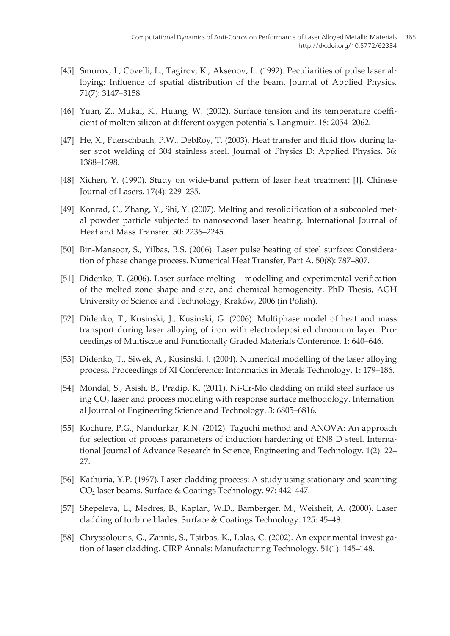- <span id="page-20-0"></span>[45] Smurov, I., Covelli, L., Tagirov, K., Aksenov, L. (1992). Peculiarities of pulse laser al‐ loying: Influence of spatial distribution of the beam. Journal of Applied Physics. 71(7): 3147–3158.
- [46] Yuan, Z., Mukai, K., Huang, W. (2002). Surface tension and its temperature coefficient of molten silicon at different oxygen potentials. Langmuir. 18: 2054–2062.
- [47] He, X., Fuerschbach, P.W., DebRoy, T. (2003). Heat transfer and fluid flow during laser spot welding of 304 stainless steel. Journal of Physics D: Applied Physics. 36: 1388–1398.
- [48] Xichen, Y. (1990). Study on wide-band pattern of laser heat treatment [J]. Chinese Journal of Lasers. 17(4): 229–235.
- [49] Konrad, C., Zhang, Y., Shi, Y. (2007). Melting and resolidification of a subcooled met‐ al powder particle subjected to nanosecond laser heating. International Journal of Heat and Mass Transfer. 50: 2236–2245.
- [50] Bin-Mansoor, S., Yilbas, B.S. (2006). Laser pulse heating of steel surface: Consideration of phase change process. Numerical Heat Transfer, Part A. 50(8): 787–807.
- [51] Didenko, T. (2006). Laser surface melting modelling and experimental verification of the melted zone shape and size, and chemical homogeneity. PhD Thesis, AGH University of Science and Technology, Kraków, 2006 (in Polish).
- [52] Didenko, T., Kusinski, J., Kusinski, G. (2006). Multiphase model of heat and mass transport during laser alloying of iron with electrodeposited chromium layer. Pro‐ ceedings of Multiscale and Functionally Graded Materials Conference. 1: 640–646.
- [53] Didenko, T., Siwek, A., Kusinski, J. (2004). Numerical modelling of the laser alloying process. Proceedings of XI Conference: Informatics in Metals Technology. 1: 179–186.
- [54] Mondal, S., Asish, B., Pradip, K. (2011). Ni-Cr-Mo cladding on mild steel surface us‐ ing  $CO<sub>2</sub>$  laser and process modeling with response surface methodology. International Journal of Engineering Science and Technology. 3: 6805–6816.
- [55] Kochure, P.G., Nandurkar, K.N. (2012). Taguchi method and ANOVA: An approach for selection of process parameters of induction hardening of EN8 D steel. International Journal of Advance Research in Science, Engineering and Technology. 1(2): 22– 27.
- [56] Kathuria, Y.P. (1997). Laser-cladding process: A study using stationary and scanning CO<sup>2</sup> laser beams. Surface & Coatings Technology. 97: 442–447.
- [57] Shepeleva, L., Medres, B., Kaplan, W.D., Bamberger, M., Weisheit, A. (2000). Laser cladding of turbine blades. Surface & Coatings Technology. 125: 45–48.
- [58] Chryssolouris, G., Zannis, S., Tsirbas, K., Lalas, C. (2002). An experimental investigation of laser cladding. CIRP Annals: Manufacturing Technology. 51(1): 145–148.